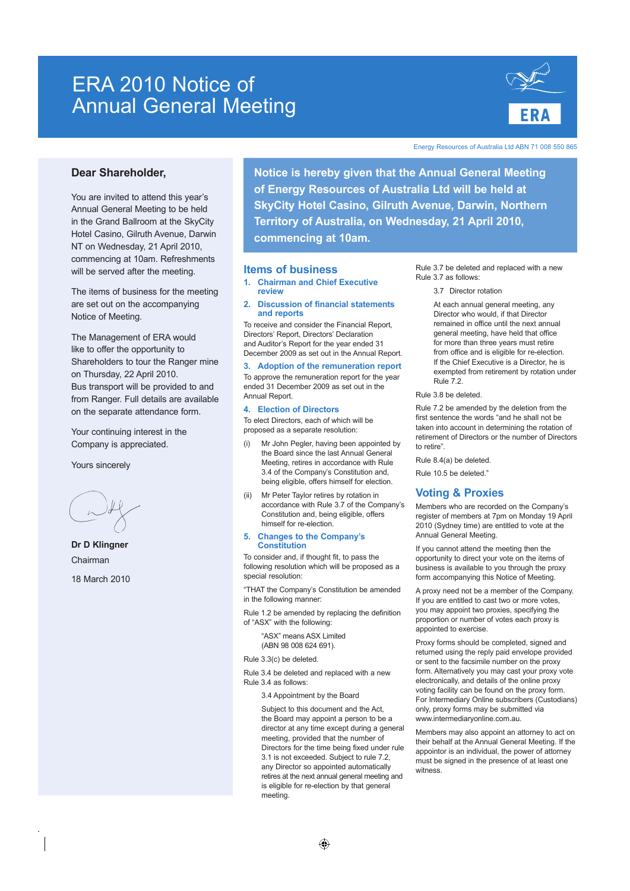# ERA 2010 Notice of Annual General Meeting



Energy Resources of Australia Ltd ABN 71 008 550 865

# **Dear Shareholder,**

You are invited to attend this year's Annual General Meeting to be held in the Grand Ballroom at the SkyCity Hotel Casino, Gilruth Avenue, Darwin NT on Wednesday, 21 April 2010, commencing at 10am. Refreshments will be served after the meeting.

The items of business for the meeting are set out on the accompanying Notice of Meeting.

The Management of ERA would like to offer the opportunity to Shareholders to tour the Ranger mine on Thursday, 22 April 2010. Bus transport will be provided to and from Ranger. Full details are available on the separate attendance form.

Your continuing interest in the Company is appreciated.

Yours sincerely

**Dr D Klingner** Chairman 18 March 2010 **Notice is hereby given that the Annual General Meeting of Energy Resources of Australia Ltd will be held at SkyCity Hotel Casino, Gilruth Avenue, Darwin, Northern Territory of Australia, on Wednesday, 21 April 2010, commencing at 10am.** 

## **Items of business**

- **1. Chairman and Chief Executive review**
- **2. Discussion of financial statements and reports**

To receive and consider the Financial Report, Directors' Report, Directors' Declaration and Auditor's Report for the year ended 31 December 2009 as set out in the Annual Report.

## **3. Adoption of the remuneration report**

To approve the remuneration report for the year ended 31 December 2009 as set out in the Annual Report.

## **4. Election of Directors**

To elect Directors, each of which will be proposed as a separate resolution:

- (i) Mr John Pegler, having been appointed by the Board since the last Annual General Meeting, retires in accordance with Rule 3.4 of the Company's Constitution and, being eligible, offers himself for election.
- Mr Peter Taylor retires by rotation in accordance with Rule 3.7 of the Company's Constitution and, being eligible, offers himself for re-election.

### **5. Changes to the Company's Constitution**

To consider and, if thought fit, to pass the following resolution which will be proposed as a special resolution

"THAT the Company's Constitution be amended in the following manner

Rule 1.2 be amended by replacing the definition of "ASX" with the following:

> "ASX" means ASX Limited (ABN 98 008 624 691).

Rule 3.3(c) be deleted.

Rule 3.4 be deleted and replaced with a new Rule 3.4 as follows:

3.4 Appointment by the Board

 Subject to this document and the Act, the Board may appoint a person to be a director at any time except during a general meeting, provided that the number of Directors for the time being fixed under rule 3.1 is not exceeded. Subject to rule 7.2, any Director so appointed automatically retires at the next annual general meeting and is eligible for re-election by that general meeting.

Rule 3.7 be deleted and replaced with a new Rule 3.7 as follows:

3.7 Director rotation

 At each annual general meeting, any Director who would, if that Director remained in office until the next annual general meeting, have held that office for more than three years must retire from office and is eligible for re-election. If the Chief Executive is a Director, he is exempted from retirement by rotation under Rule 7.2.

Rule 3.8 be deleted.

Rule 7.2 be amended by the deletion from the first sentence the words "and he shall not be taken into account in determining the rotation of retirement of Directors or the number of Directors to retire".

Rule 8.4(a) be deleted.

Rule 10.5 be deleted."

# **Voting & Proxies**

Members who are recorded on the Company's register of members at 7pm on Monday 19 April 2010 (Sydney time) are entitled to vote at the Annual General Meeting.

If you cannot attend the meeting then the opportunity to direct your vote on the items of business is available to you through the proxy form accompanying this Notice of Meeting.

A proxy need not be a member of the Company. If you are entitled to cast two or more votes, you may appoint two proxies, specifying the proportion or number of votes each proxy is appointed to exercise.

Proxy forms should be completed, signed and returned using the reply paid envelope provided or sent to the facsimile number on the proxy form. Alternatively you may cast your proxy vote electronically, and details of the online proxy voting facility can be found on the proxy form. For Intermediary Online subscribers (Custodians) only, proxy forms may be submitted via www.intermediaryonline.com.au.

Members may also appoint an attorney to act on their behalf at the Annual General Meeting. If the appointor is an individual, the power of attorney must be signed in the presence of at least one witness.